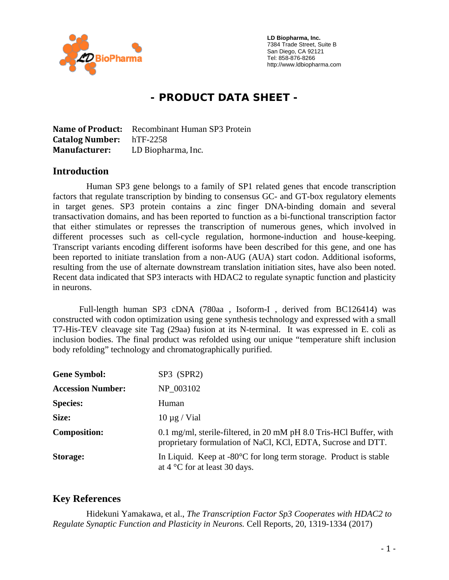

 **LD Biopharma, Inc.**  7384 Trade Street, Suite B San Diego, CA 92121 Tel: 858-876-8266 http://www.ldbiopharma.com

# **- PRODUCT DATA SHEET -**

**Name of Product:** Recombinant Human SP3 Protein **Catalog Number:** hTF-2258 **Manufacturer:** LD Biopharma, Inc.

#### **Introduction**

 Human SP3 gene belongs to a family of SP1 related genes that encode transcription factors that regulate transcription by binding to consensus GC- and GT-box regulatory elements in target genes. SP3 protein contains a zinc finger DNA-binding domain and several transactivation domains, and has been reported to function as a bi-functional transcription factor that either stimulates or represses the transcription of numerous genes, which involved in different processes such as cell-cycle regulation, hormone-induction and house-keeping. Transcript variants encoding different isoforms have been described for this gene, and one has been reported to initiate translation from a non-AUG (AUA) start codon. Additional isoforms, resulting from the use of alternate downstream translation initiation sites, have also been noted. Recent data indicated that SP3 interacts with HDAC2 to regulate synaptic function and plasticity in neurons.

Full-length human SP3 cDNA (780aa , Isoform-I , derived from BC126414) was constructed with codon optimization using gene synthesis technology and expressed with a small T7-His-TEV cleavage site Tag (29aa) fusion at its N-terminal. It was expressed in E. coli as inclusion bodies. The final product was refolded using our unique "temperature shift inclusion body refolding" technology and chromatographically purified.

| <b>Gene Symbol:</b>      | SP3 (SPR2)                                                                                                                         |
|--------------------------|------------------------------------------------------------------------------------------------------------------------------------|
| <b>Accession Number:</b> | NP 003102                                                                                                                          |
| <b>Species:</b>          | Human                                                                                                                              |
| Size:                    | $10 \mu g$ / Vial                                                                                                                  |
| <b>Composition:</b>      | 0.1 mg/ml, sterile-filtered, in 20 mM pH 8.0 Tris-HCl Buffer, with<br>proprietary formulation of NaCl, KCl, EDTA, Sucrose and DTT. |
| Storage:                 | In Liquid. Keep at $-80^{\circ}$ C for long term storage. Product is stable<br>at $4^{\circ}$ C for at least 30 days.              |

# **Key References**

 Hidekuni Yamakawa, et al., *The Transcription Factor Sp3 Cooperates with HDAC2 to Regulate Synaptic Function and Plasticity in Neurons.* Cell Reports, 20, 1319-1334 (2017)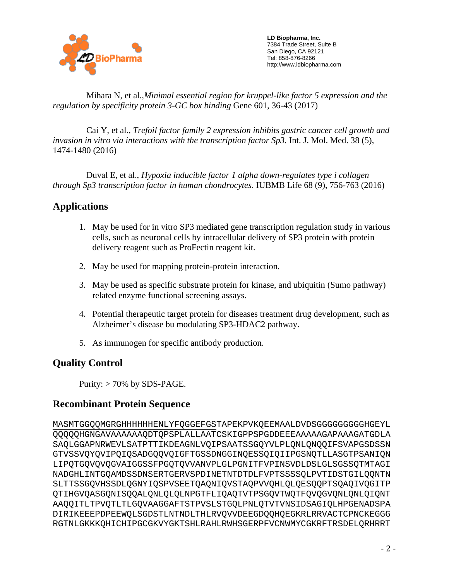

 **LD Biopharma, Inc.**  7384 Trade Street, Suite B San Diego, CA 92121 Tel: 858-876-8266 http://www.ldbiopharma.com

 Mihara N, et al.,*Minimal essential region for kruppel-like factor 5 expression and the regulation by specificity protein 3-GC box binding* Gene 601, 36-43 (2017)

 Cai Y, et al., *Trefoil factor family 2 expression inhibits gastric cancer cell growth and invasion in vitro via interactions with the transcription factor Sp3.* Int. J. Mol. Med. 38 (5), 1474-1480 (2016)

 Duval E, et al., *Hypoxia inducible factor 1 alpha down-regulates type i collagen through Sp3 transcription factor in human chondrocytes*. IUBMB Life 68 (9), 756-763 (2016)

# **Applications**

- 1. May be used for in vitro SP3 mediated gene transcription regulation study in various cells, such as neuronal cells by intracellular delivery of SP3 protein with protein delivery reagent such as ProFectin reagent kit.
- 2. May be used for mapping protein-protein interaction.
- 3. May be used as specific substrate protein for kinase, and ubiquitin (Sumo pathway) related enzyme functional screening assays.
- 4. Potential therapeutic target protein for diseases treatment drug development, such as Alzheimer's disease bu modulating SP3-HDAC2 pathway.
- 5. As immunogen for specific antibody production.

# **Quality Control**

Purity:  $> 70\%$  by SDS-PAGE.

# **Recombinant Protein Sequence**

MASMTGGQQMGRGHHHHHHENLYFQGGEFGSTAPEKPVKQEEMAALDVDSGGGGGGGGGHGEYL QQQQQHGNGAVAAAAAAQDTQPSPLALLAATCSKIGPPSPGDDEEEAAAAAGAPAAAGATGDLA SAQLGGAPNRWEVLSATPTTIKDEAGNLVQIPSAATSSGQYVLPLQNLQNQQIFSVAPGSDSSN GTVSSVQYQVIPQIQSADGQQVQIGFTGSSDNGGINQESSQIQIIPGSNQTLLASGTPSANIQN LIPQTGQVQVQGVAIGGSSFPGQTQVVANVPLGLPGNITFVPINSVDLDSLGLSGSSQTMTAGI NADGHLINTGQAMDSSDNSERTGERVSPDINETNTDTDLFVPTSSSSQLPVTIDSTGILQQNTN SLTTSSGQVHSSDLQGNYIQSPVSEETQAQNIQVSTAQPVVQHLQLQESQQPTSQAQIVQGITP QTIHGVQASGQNISQQALQNLQLQLNPGTFLIQAQTVTPSGQVTWQTFQVQGVQNLQNLQIQNT AAQQITLTPVQTLTLGQVAAGGAFTSTPVSLSTGQLPNLQTVTVNSIDSAGIQLHPGENADSPA DIRIKEEEPDPEEWQLSGDSTLNTNDLTHLRVQVVDEEGDQQHQEGKRLRRVACTCPNCKEGGG RGTNLGKKKQHICHIPGCGKVYGKTSHLRAHLRWHSGERPFVCNWMYCGKRFTRSDELQRHRRT